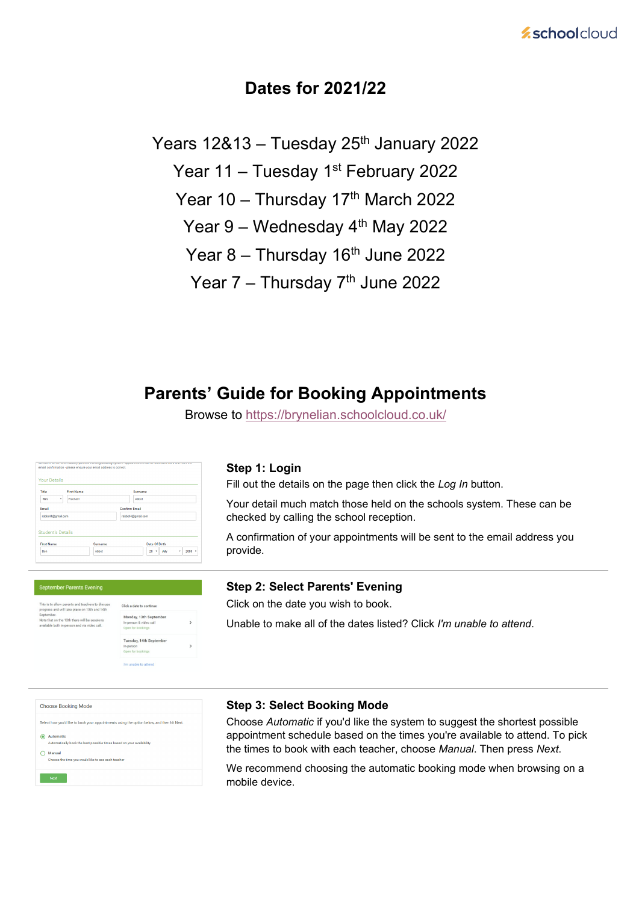# **Dates for 2021/22**

Years  $12&13$  – Tuesday  $25<sup>th</sup>$  January 2022

Year 11 – Tuesday 1st February 2022

Year  $10 -$  Thursday 17<sup>th</sup> March 2022

Year  $9$  – Wednesday  $4<sup>th</sup>$  May 2022

Year  $8 -$  Thursday 16<sup>th</sup> June 2022

Year  $7 -$  Thursday  $7<sup>th</sup>$  June 2022

# **Parents' Guide for Booking Appointments**

Browse to<https://brynelian.schoolcloud.co.uk/>

| Title                                  | <b>First Name</b> |         |                      | Sumame        |      |          |
|----------------------------------------|-------------------|---------|----------------------|---------------|------|----------|
| Mrs                                    | Rachael<br>۰      |         |                      | Abbot         |      |          |
| Email                                  |                   |         | <b>Confirm Email</b> |               |      |          |
| rabbot4@gmail.com                      |                   |         | rabbot4@gmail.com    |               |      |          |
| Student's Details<br><b>First Name</b> |                   | Surname |                      | Date Of Ricth |      |          |
|                                        |                   |         |                      |               | July | $2000 +$ |

## **Step 1: Login**

Fill out the details on the page then click the *Log In* button.

Your detail much match those held on the schools system. These can be checked by calling the school reception.

A confirmation of your appointments will be sent to the email address you provide.

| This is to allow parents and teachers to discuss<br>progress and will take place on 13th and 14th           | Click a date to continue                                              |               |  |
|-------------------------------------------------------------------------------------------------------------|-----------------------------------------------------------------------|---------------|--|
| September.<br>Note that on the 13th there will be sessions.<br>available both in-person and via video call. | Monday, 13th September<br>In-person & video call<br>Open for bookings |               |  |
|                                                                                                             | Tuesday, 14th September<br>In-person<br>Open for bookings             | $\mathcal{P}$ |  |
|                                                                                                             | I'm unable to attend                                                  |               |  |

#### **Step 2: Select Parents' Evening**

Click on the date you wish to book.

Unable to make all of the dates listed? Click *I'm unable to attend*.

| <b>Choose Booking Mode</b>                                                                 |
|--------------------------------------------------------------------------------------------|
| Select how you'd like to book your appointments using the option below, and then hit Next. |
| Automatic<br>Automatically book the best possible times based on your availability         |
| Manual<br>Choose the time you would like to see each teacher                               |
| <b>Next</b>                                                                                |

#### **Step 3: Select Booking Mode**

Choose *Automatic* if you'd like the system to suggest the shortest possible appointment schedule based on the times you're available to attend. To pick the times to book with each teacher, choose *Manual*. Then press *Next*.

We recommend choosing the automatic booking mode when browsing on a mobile device.